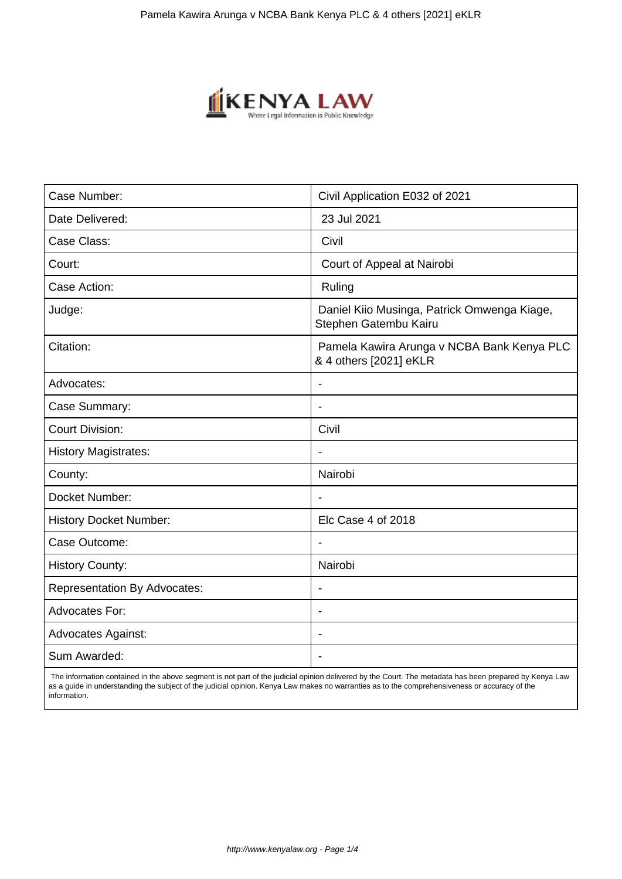

| Case Number:                        | Civil Application E032 of 2021                                       |
|-------------------------------------|----------------------------------------------------------------------|
| Date Delivered:                     | 23 Jul 2021                                                          |
| Case Class:                         | Civil                                                                |
| Court:                              | Court of Appeal at Nairobi                                           |
| Case Action:                        | Ruling                                                               |
| Judge:                              | Daniel Kiio Musinga, Patrick Omwenga Kiage,<br>Stephen Gatembu Kairu |
| Citation:                           | Pamela Kawira Arunga v NCBA Bank Kenya PLC<br>& 4 others [2021] eKLR |
| Advocates:                          |                                                                      |
| Case Summary:                       | $\blacksquare$                                                       |
| <b>Court Division:</b>              | Civil                                                                |
| <b>History Magistrates:</b>         |                                                                      |
| County:                             | Nairobi                                                              |
| Docket Number:                      | $\blacksquare$                                                       |
| <b>History Docket Number:</b>       | Elc Case 4 of 2018                                                   |
| Case Outcome:                       |                                                                      |
| <b>History County:</b>              | Nairobi                                                              |
| <b>Representation By Advocates:</b> | $\blacksquare$                                                       |
| <b>Advocates For:</b>               | $\overline{\phantom{0}}$                                             |
| <b>Advocates Against:</b>           |                                                                      |
| Sum Awarded:                        |                                                                      |

 The information contained in the above segment is not part of the judicial opinion delivered by the Court. The metadata has been prepared by Kenya Law as a guide in understanding the subject of the judicial opinion. Kenya Law makes no warranties as to the comprehensiveness or accuracy of the information.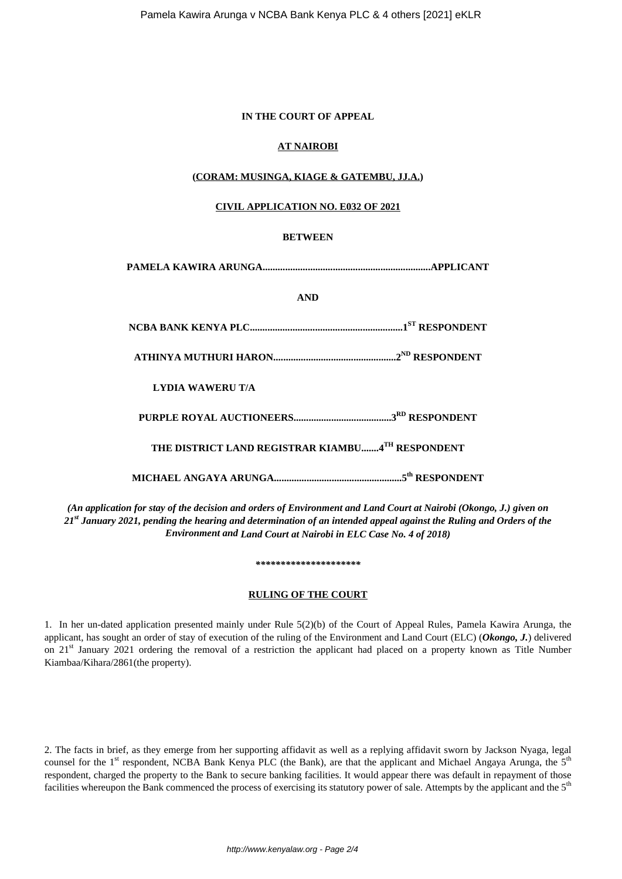#### **IN THE COURT OF APPEAL**

# **AT NAIROBI**

# **(CORAM: MUSINGA, KIAGE & GATEMBU, JJ.A.)**

#### **CIVIL APPLICATION NO. E032 OF 2021**

### **BETWEEN**

**PAMELA KAWIRA ARUNGA...................................................................APPLICANT**

### **AND**

**NCBA BANK KENYA PLC.............................................................1ST RESPONDENT**

**ATHINYA MUTHURI HARON.................................................2ND RESPONDENT**

**LYDIA WAWERU T/A**

**PURPLE ROYAL AUCTIONEERS.......................................3RD RESPONDENT**

**THE DISTRICT LAND REGISTRAR KIAMBU.......4TH RESPONDENT**

**MICHAEL ANGAYA ARUNGA...................................................5th RESPONDENT**

*(An application for stay of the decision and orders of Environment and Land Court at Nairobi (Okongo, J.) given on 21st January 2021, pending the hearing and determination of an intended appeal against the Ruling and Orders of the Environment and Land Court at Nairobi in ELC Case No. 4 of 2018)*

*\*\*\*\*\*\*\*\*\*\*\*\*\*\*\*\*\*\*\*\*\**

# **RULING OF THE COURT**

1. In her un-dated application presented mainly under Rule 5(2)(b) of the Court of Appeal Rules, Pamela Kawira Arunga, the applicant, has sought an order of stay of execution of the ruling of the Environment and Land Court (ELC) (*Okongo, J.*) delivered on 21<sup>st</sup> January 2021 ordering the removal of a restriction the applicant had placed on a property known as Title Number Kiambaa/Kihara/2861(the property).

2. The facts in brief, as they emerge from her supporting affidavit as well as a replying affidavit sworn by Jackson Nyaga, legal counsel for the 1<sup>st</sup> respondent, NCBA Bank Kenya PLC (the Bank), are that the applicant and Michael Angaya Arunga, the  $5<sup>th</sup>$ respondent, charged the property to the Bank to secure banking facilities. It would appear there was default in repayment of those facilities whereupon the Bank commenced the process of exercising its statutory power of sale. Attempts by the applicant and the 5<sup>th</sup>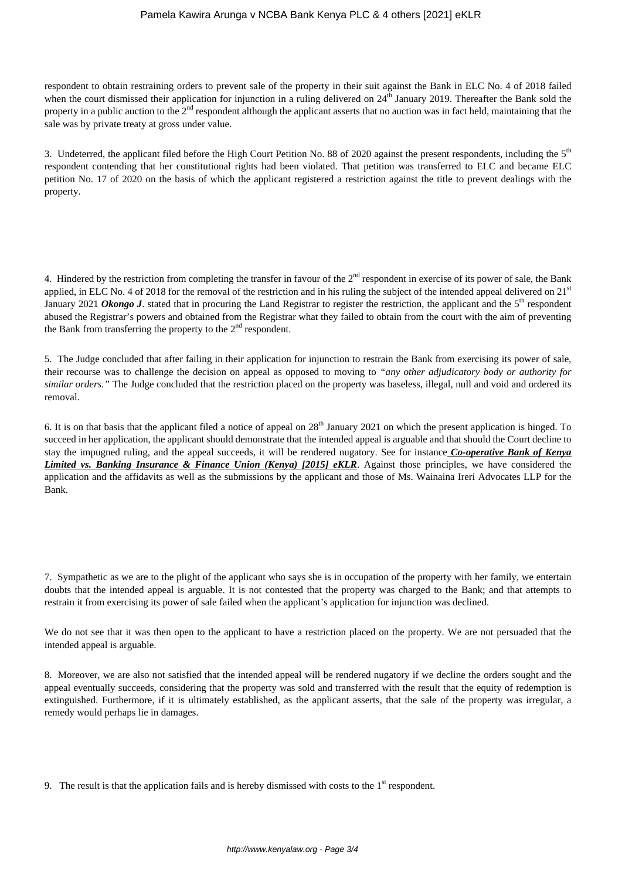respondent to obtain restraining orders to prevent sale of the property in their suit against the Bank in ELC No. 4 of 2018 failed when the court dismissed their application for injunction in a ruling delivered on  $24^{\text{th}}$  January 2019. Thereafter the Bank sold the property in a public auction to the  $2<sup>nd</sup>$  respondent although the applicant asserts that no auction was in fact held, maintaining that the sale was by private treaty at gross under value.

3. Undeterred, the applicant filed before the High Court Petition No. 88 of 2020 against the present respondents, including the 5<sup>th</sup> respondent contending that her constitutional rights had been violated. That petition was transferred to ELC and became ELC petition No. 17 of 2020 on the basis of which the applicant registered a restriction against the title to prevent dealings with the property.

4. Hindered by the restriction from completing the transfer in favour of the  $2<sup>nd</sup>$  respondent in exercise of its power of sale, the Bank applied, in ELC No. 4 of 2018 for the removal of the restriction and in his ruling the subject of the intended appeal delivered on 21<sup>st</sup> January 2021 *Okongo J*. stated that in procuring the Land Registrar to register the restriction, the applicant and the 5<sup>th</sup> respondent abused the Registrar's powers and obtained from the Registrar what they failed to obtain from the court with the aim of preventing the Bank from transferring the property to the  $2<sup>nd</sup>$  respondent.

5. The Judge concluded that after failing in their application for injunction to restrain the Bank from exercising its power of sale, their recourse was to challenge the decision on appeal as opposed to moving to *"any other adjudicatory body or authority for similar orders."* The Judge concluded that the restriction placed on the property was baseless, illegal, null and void and ordered its removal.

6. It is on that basis that the applicant filed a notice of appeal on  $28<sup>th</sup>$  January 2021 on which the present application is hinged. To succeed in her application, the applicant should demonstrate that the intended appeal is arguable and that should the Court decline to stay the impugned ruling, and the appeal succeeds, it will be rendered nugatory. See for instance *Co-operative Bank of Kenya Limited vs. Banking Insurance & Finance Union (Kenya) [2015] eKLR*. Against those principles, we have considered the application and the affidavits as well as the submissions by the applicant and those of Ms. Wainaina Ireri Advocates LLP for the Bank.

7. Sympathetic as we are to the plight of the applicant who says she is in occupation of the property with her family, we entertain doubts that the intended appeal is arguable. It is not contested that the property was charged to the Bank; and that attempts to restrain it from exercising its power of sale failed when the applicant's application for injunction was declined.

We do not see that it was then open to the applicant to have a restriction placed on the property. We are not persuaded that the intended appeal is arguable.

8. Moreover, we are also not satisfied that the intended appeal will be rendered nugatory if we decline the orders sought and the appeal eventually succeeds, considering that the property was sold and transferred with the result that the equity of redemption is extinguished. Furthermore, if it is ultimately established, as the applicant asserts, that the sale of the property was irregular, a remedy would perhaps lie in damages.

9. The result is that the application fails and is hereby dismissed with costs to the  $1<sup>st</sup>$  respondent.